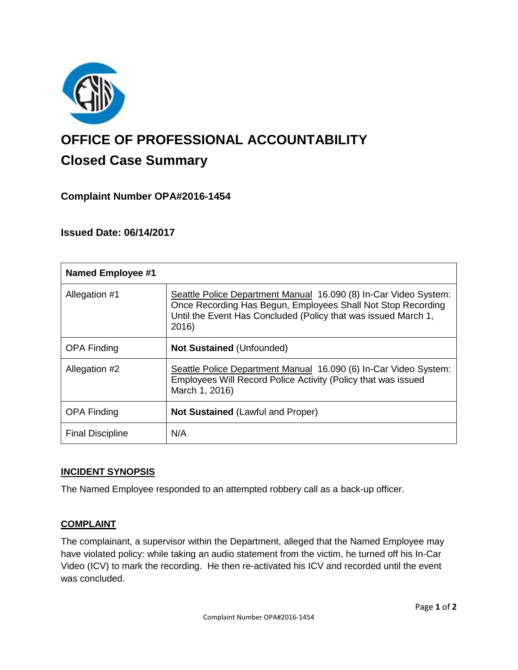

# **OFFICE OF PROFESSIONAL ACCOUNTABILITY Closed Case Summary**

## **Complaint Number OPA#2016-1454**

## **Issued Date: 06/14/2017**

| <b>Named Employee #1</b> |                                                                                                                                                                                                             |
|--------------------------|-------------------------------------------------------------------------------------------------------------------------------------------------------------------------------------------------------------|
| Allegation #1            | Seattle Police Department Manual 16.090 (8) In-Car Video System:<br>Once Recording Has Begun, Employees Shall Not Stop Recording<br>Until the Event Has Concluded (Policy that was issued March 1,<br>2016) |
| <b>OPA Finding</b>       | <b>Not Sustained (Unfounded)</b>                                                                                                                                                                            |
| Allegation #2            | Seattle Police Department Manual 16.090 (6) In-Car Video System:<br>Employees Will Record Police Activity (Policy that was issued<br>March 1, 2016)                                                         |
| <b>OPA Finding</b>       | <b>Not Sustained (Lawful and Proper)</b>                                                                                                                                                                    |
| <b>Final Discipline</b>  | N/A                                                                                                                                                                                                         |

#### **INCIDENT SYNOPSIS**

The Named Employee responded to an attempted robbery call as a back-up officer.

#### **COMPLAINT**

The complainant, a supervisor within the Department, alleged that the Named Employee may have violated policy: while taking an audio statement from the victim, he turned off his In-Car Video (ICV) to mark the recording. He then re-activated his ICV and recorded until the event was concluded.